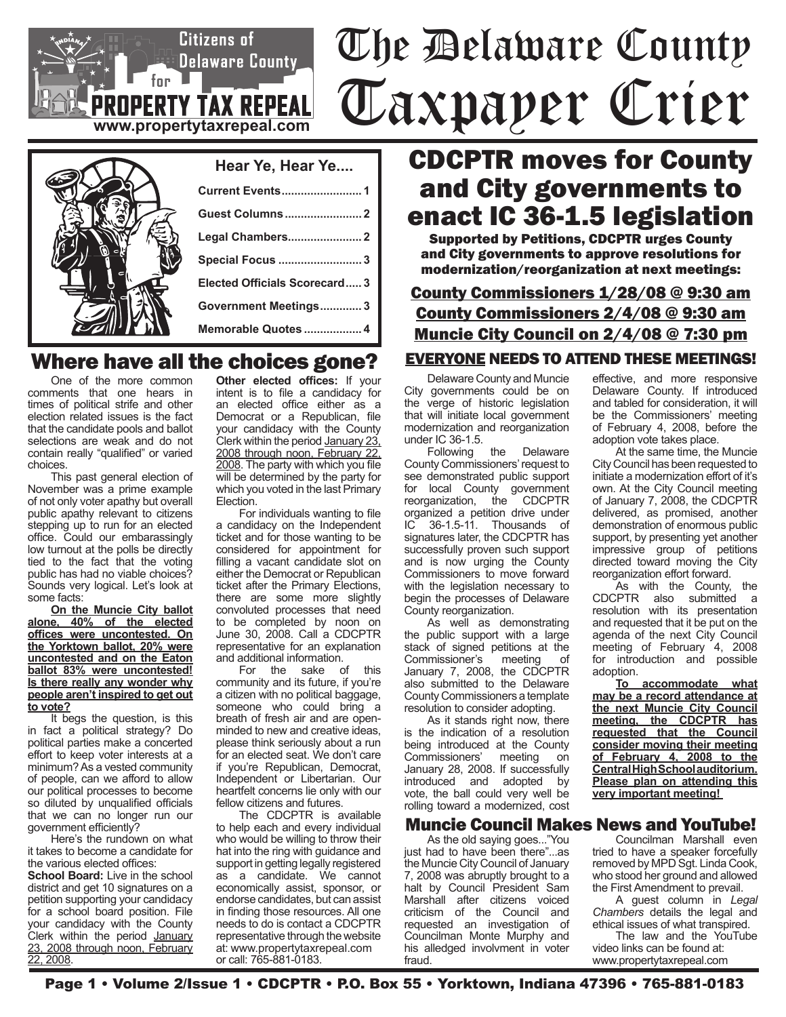# The Delaware County Taxpayer Crier

| Hear Ye, Hear Ye              |
|-------------------------------|
|                               |
|                               |
|                               |
| <b>Special Focus  3</b>       |
| Elected Officials Scorecard 3 |
| Government Meetings 3         |
| Memorable Quotes  4           |

**www.propertytaxrepeal.com**

**PROPERTY TAX REPEAL** 

 $f_{\text{BP}}$ 

Citizens of

Delaware County\_

## Where have all the choices gone?

One of the more common comments that one hears in times of political strife and other election related issues is the fact that the candidate pools and ballot selections are weak and do not contain really "qualified" or varied choices.

This past general election of November was a prime example of not only voter apathy but overall public apathy relevant to citizens stepping up to run for an elected office. Could our embarassingly low turnout at the polls be directly tied to the fact that the voting public has had no viable choices? Sounds very logical. Let's look at some facts:

**On the Muncie City ballot alone, 40% of the elected offices were uncontested. On the Yorktown ballot, 20% were uncontested and on the Eaton ballot 83% were uncontested! Is there really any wonder why people aren't inspired to get out to vote?**

It begs the question, is this in fact a political strategy? Do political parties make a concerted effort to keep voter interests at a minimum? As a vested community of people, can we afford to allow our political processes to become so diluted by unqualified officials that we can no longer run our government efficiently?

Here's the rundown on what it takes to become a candidate for the various elected offices:

**School Board:** Live in the school district and get 10 signatures on a petition supporting your candidacy for a school board position. File your candidacy with the County Clerk within the period January 23, 2008 through noon, February 22, 2008.

**Other elected offices:** If your intent is to file a candidacy for an elected office either as a Democrat or a Republican, file your candidacy with the County Clerk within the period January 23, 2008 through noon, February 22, 2008. The party with which you file will be determined by the party for which you voted in the last Primary Election.

For individuals wanting to file a candidacy on the Independent ticket and for those wanting to be considered for appointment for filling a vacant candidate slot on either the Democrat or Republican ticket after the Primary Elections, there are some more slightly convoluted processes that need to be completed by noon on June 30, 2008. Call a CDCPTR representative for an explanation

and additional information. For the sake of this community and its future, if you're a citizen with no political baggage, someone who could bring a breath of fresh air and are openminded to new and creative ideas, please think seriously about a run for an elected seat. We don't care if you're Republican, Democrat, Independent or Libertarian. Our heartfelt concerns lie only with our fellow citizens and futures.

The CDCPTR is available to help each and every individual who would be willing to throw their hat into the ring with guidance and support in getting legally registered as a candidate. We cannot economically assist, sponsor, or endorse candidates, but can assist in finding those resources. All one needs to do is contact a CDCPTR representative through the website at: www.propertytaxrepeal.com or call: 765-881-0183.

## CDCPTR moves for County and City governments to enact IC 36-1.5 legislation

Supported by Petitions, CDCPTR urges County and City governments to approve resolutions for modernization/reorganization at next meetings:

## County Commissioners 1/28/08 @ 9:30 am County Commissioners 2/4/08 @ 9:30 am Muncie City Council on 2/4/08 @ 7:30 pm

#### EVERYONE NEEDS TO ATTEND THESE MEETINGS!

Delaware County and Muncie City governments could be on the verge of historic legislation that will initiate local government modernization and reorganization under IC 36-1.5.

Following the Delaware County Commissioners' request to see demonstrated public support for local County government<br>reorganization, the CDCPTR the CDCPTR organized a petition drive under IC 36-1.5-11. Thousands of signatures later, the CDCPTR has successfully proven such support and is now urging the County Commissioners to move forward with the legislation necessary to begin the processes of Delaware County reorganization.

As well as demonstrating the public support with a large stack of signed petitions at the<br>Commissioner's meeting of Commissioner's meeting of January 7, 2008, the CDCPTR also submitted to the Delaware County Commissioners a template resolution to consider adopting.

As it stands right now, there is the indication of a resolution being introduced at the County Commissioners' meeting on January 28, 2008. If successfully introduced and adopted by vote, the ball could very well be rolling toward a modernized, cost

#### Muncie Council Makes News and YouTube!

As the old saying goes..."You just had to have been there"...as the Muncie City Council of January 7, 2008 was abruptly brought to a halt by Council President Sam Marshall after citizens voiced criticism of the Council and requested an investigation of Councilman Monte Murphy and his alledged involvment in voter fraud.

effective, and more responsive Delaware County. If introduced and tabled for consideration, it will be the Commissioners' meeting of February 4, 2008, before the adoption vote takes place.

At the same time, the Muncie City Council has been requested to initiate a modernization effort of it's own. At the City Council meeting of January 7, 2008, the CDCPTR delivered, as promised, another demonstration of enormous public support, by presenting yet another impressive group of petitions directed toward moving the City reorganization effort forward.

As with the County, the CDCPTR also submitted a resolution with its presentation and requested that it be put on the agenda of the next City Council meeting of February 4, 2008 for introduction and possible adoption.

**To accommodate what may be a record attendance at the next Muncie City Council meeting, the CDCPTR has requested that the Council consider moving their meeting of February 4, 2008 to the Central High School auditorium. Please plan on attending this very important meeting!** 

Councilman Marshall even tried to have a speaker forcefully removed by MPD Sgt. Linda Cook, who stood her ground and allowed the First Amendment to prevail.

A guest column in *Legal Chambers* details the legal and ethical issues of what transpired.

The law and the YouTube video links can be found at: www.propertytaxrepeal.com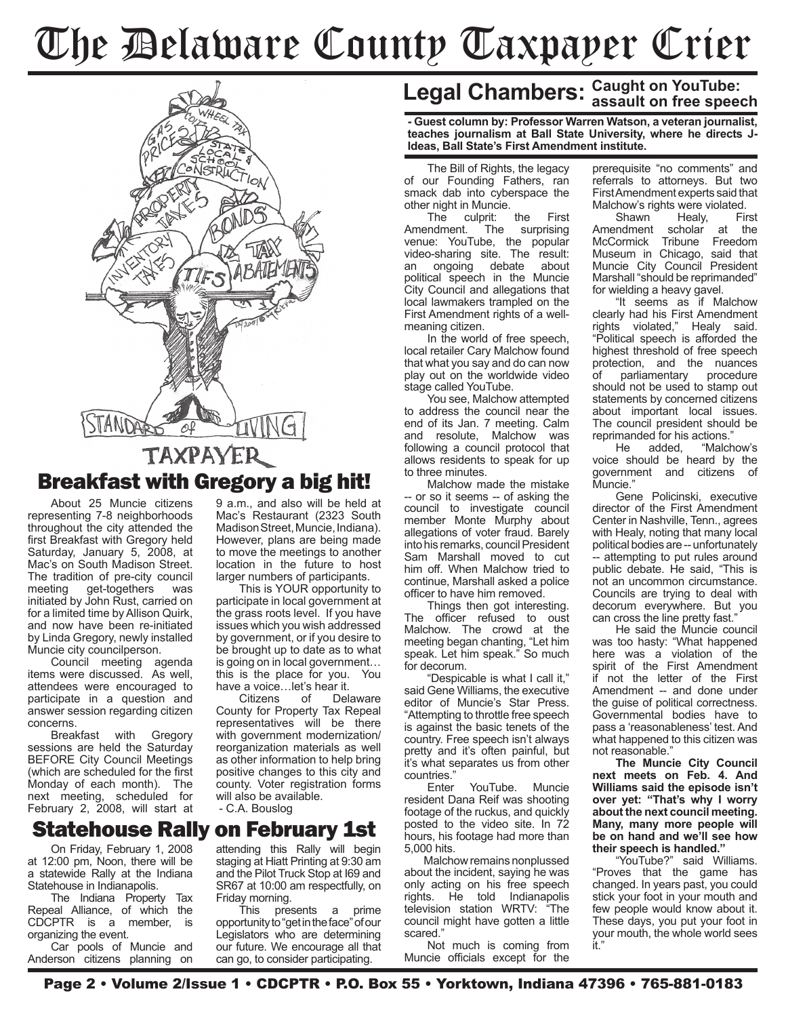# The Delaware County Taxpayer Crier



About 25 Muncie citizens representing 7-8 neighborhoods throughout the city attended the first Breakfast with Gregory held Saturday, January 5, 2008, at Mac's on South Madison Street. The tradition of pre-city council meeting get-togethers was initiated by John Rust, carried on for a limited time by Allison Quirk, and now have been re-initiated by Linda Gregory, newly installed Muncie city councilperson.

Council meeting agenda items were discussed. As well, attendees were encouraged to participate in a question and answer session regarding citizen concerns.

Breakfast with Gregory sessions are held the Saturday BEFORE City Council Meetings (which are scheduled for the first Monday of each month). The next meeting, scheduled for February 2, 2008, will start at 9 a.m., and also will be held at Mac's Restaurant (2323 South Madison Street, Muncie, Indiana). However, plans are being made to move the meetings to another location in the future to host larger numbers of participants.

This is YOUR opportunity to participate in local government at the grass roots level. If you have issues which you wish addressed by government, or if you desire to be brought up to date as to what is going on in local government… this is the place for you. You have a voice…let's hear it.<br>Citizens of Delaware

Citizens County for Property Tax Repeal representatives will be there with government modernization/ reorganization materials as well as other information to help bring positive changes to this city and county. Voter registration forms

attending this Rally will begin staging at Hiatt Printing at 9:30 am and the Pilot Truck Stop at I69 and SR67 at 10:00 am respectfully, on

This presents a prime opportunity to "get in the face" of our Legislators who are determining our future. We encourage all that can go, to consider participating.

#### Statehouse Rally on February 1st

On Friday, February 1, 2008 at 12:00 pm, Noon, there will be a statewide Rally at the Indiana Statehouse in Indianapolis.

The Indiana Property Tax Repeal Alliance, of which the<br>CDCPTR is a member, is CDCPTR is a member. organizing the event.

Car pools of Muncie and Anderson citizens planning on

## **Legal Chambers: Caught on YouTube: assault on free speech**

**- Guest column by: Professor Warren Watson, a veteran journalist, teaches journalism at Ball State University, where he directs J-Ideas, Ball State's First Amendment institute.**

The Bill of Rights, the legacy of our Founding Fathers, ran smack dab into cyberspace the other night in Muncie.

The culprit: the First Amendment. The surprising venue: YouTube, the popular video-sharing site. The result: an ongoing debate about political speech in the Muncie City Council and allegations that local lawmakers trampled on the First Amendment rights of a wellmeaning citizen.

In the world of free speech, local retailer Cary Malchow found that what you say and do can now play out on the worldwide video stage called YouTube.

You see, Malchow attempted to address the council near the end of its Jan. 7 meeting. Calm and resolute, Malchow was following a council protocol that allows residents to speak for up to three minutes.

Malchow made the mistake -- or so it seems -- of asking the council to investigate council member Monte Murphy about allegations of voter fraud. Barely into his remarks, council President Sam Marshall moved to cut him off. When Malchow tried to continue, Marshall asked a police officer to have him removed.

Things then got interesting. The officer refused to oust Malchow. The crowd at the meeting began chanting, "Let him speak. Let him speak." So much for decorum.

"Despicable is what I call it," said Gene Williams, the executive editor of Muncie's Star Press. "Attempting to throttle free speech is against the basic tenets of the country. Free speech isn't always pretty and it's often painful, but it's what separates us from other countries."

YouTube. Muncie resident Dana Reif was shooting footage of the ruckus, and quickly posted to the video site. In 72 hours, his footage had more than 5,000 hits.

 Malchow remains nonplussed about the incident, saying he was only acting on his free speech rights. He told Indianapolis television station WRTV: "The council might have gotten a little scared."

Not much is coming from Muncie officials except for the prerequisite "no comments" and referrals to attorneys. But two First Amendment experts said that Malchow's rights were violated.<br>Shawn Healy. First

Healy, Amendment scholar at the McCormick Tribune Freedom Museum in Chicago, said that Muncie City Council President Marshall "should be reprimanded" for wielding a heavy gavel.

"It seems as if Malchow clearly had his First Amendment rights violated," Healy said. "Political speech is afforded the highest threshold of free speech protection, and the nuances<br>of parliamentary procedure of parliamentary should not be used to stamp out statements by concerned citizens about important local issues. The council president should be reprimanded for his actions."<br>He added. "Malch

"Malchow's voice should be heard by the government and citizens of Muncie."

Gene Policinski, executive director of the First Amendment Center in Nashville, Tenn., agrees with Healy, noting that many local political bodies are -- unfortunately -- attempting to put rules around public debate. He said, "This is not an uncommon circumstance. Councils are trying to deal with decorum everywhere. But you can cross the line pretty fast."

He said the Muncie council was too hasty: "What happened here was a violation of the spirit of the First Amendment if not the letter of the First Amendment -- and done under the guise of political correctness. Governmental bodies have to pass a 'reasonableness' test. And what happened to this citizen was not reasonable."

**The Muncie City Council next meets on Feb. 4. And Williams said the episode isn't over yet: "That's why I worry about the next council meeting. Many, many more people will be on hand and we'll see how their speech is handled."**

"YouTube?" said Williams. "Proves that the game has changed. In years past, you could stick your foot in your mouth and few people would know about it. These days, you put your foot in your mouth, the whole world sees it."

will also be available. - C.A. Bouslog

Friday morning.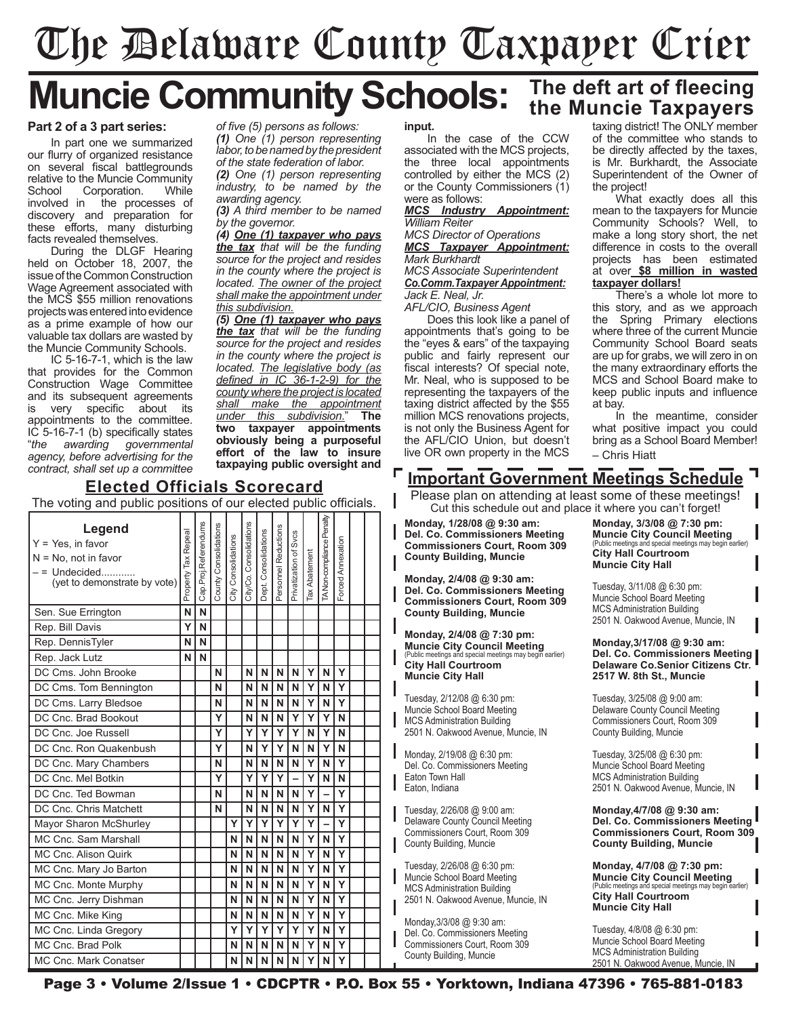# The Delaware County Taxpayer Crier

## **Muncie Community Schools:** The deft art of fleecing

#### **Part 2 of a 3 part series:**

In part one we summarized our flurry of organized resistance on several fiscal battlegrounds relative to the Muncie Community School Corporation. While<br>involved in the processes of ihe processes of discovery and preparation for these efforts, many disturbing facts revealed themselves.

During the DLGF Hearing held on October 18, 2007, the issue of the Common Construction Wage Agreement associated with the MCS \$55 million renovations projects was entered into evidence as a prime example of how our valuable tax dollars are wasted by the Muncie Community Schools.

IC 5-16-7-1, which is the law that provides for the Common Construction Wage Committee and its subsequent agreements is very specific about its appointments to the committee. IC 5-16-7-1 (b) specifically states<br>"the awarding governmental "*the awarding governmental agency, before advertising for the contract, shall set up a committee* 

*of five (5) persons as follows: (1) One (1) person representing labor, to be named by the president of the state federation of labor.*

*(2) One (1) person representing industry, to be named by the awarding agency.*

*(3) A third member to be named by the governor.*

*(4) One (1) taxpayer who pays the tax that will be the funding source for the project and resides in the county where the project is located. The owner of the project shall make the appointment under this subdivision.*

*(5) One (1) taxpayer who pays the tax that will be the funding source for the project and resides in the county where the project is located. The legislative body (as defined in IC 36-1-2-9) for the county where the project is located shall make the appointment under this subdivision*." **The taxpayer** appointments **obviously being a purposeful effort of the law to insure taxpaying public oversight and** 

#### **Elected Officials Scorecard**

The voting and public positions of our elected public officials. TA Non-compliance Penalty TA Non-compliance Penalty Cap.Proj.Referendums Cap.Proj.Referendums Consolidations City/Co. Consolidations **Legend** County Consolidations County Consolidations Reductions Personnel Reductions Consolidations Privatization of Svcs Tax Repeal Property Tax Repeal Dept. Consolidations Privatization of Svcs Consolidations City Consolidations Y = Yes, in favor Annexation Forced Annexation **Tax Abatement** Tax Abatement N = No, not in favor Personnel – = Undecided............ Property City/Co. Forced (yet to demonstrate by vote)|<br>Dept. City Sen. Sue Errington **N N N** Rep. Bill Davis **Y N** Rep. DennisTyler **N N N** Rep. Jack Lutz **N N N** DC Cms. John Brooke **N N N N N Y N Y**  $DC \text{ Cms. Tom Bennington}$   $\left| \begin{array}{c} | \\ | \end{array} \right| \left| N \right| \left| N \right| N \left| N \right| Y \left| N \right| Y$ DC Cms. Larry Bledsoe **N N N N N Y N Y** DC Cnc. Brad Bookout **Y N N N Y Y Y N** DC Cnc. Joe Russell **Y Y Y Y Y N Y N** DC Cnc. Ron Quakenbush **Y N Y Y N N Y N** DC Cnc. Mary Chambers **N N N N N Y N Y** DC Cnc. Mel Botkin **Y Y Y Y – Y N N** DC Cnc. Ted Bowman **N N N N N Y – Y** DC Cnc. Chris Matchett **N N N N N Y N Y** Mayor Sharon McShurley **Y Y Y Y Y Y – Y** MC Cnc. Sam Marshall **N N N N N Y N Y** MC Cnc. Alison Quirk **N N N N N Y N Y** MC Cnc. Mary Jo Barton **N N N N N Y N Y** MC Cnc. Monte Murphy **N N N N N Y N Y** MC Cnc. Jerry Dishman **N N N N N Y N Y**  $M$ C Cnc. Mike King  $M$   $\left| \begin{array}{ccc} | & | & | \end{array} \right|$   $| N | N | N | N | N | Y | N | Y$ MC Cnc. Linda Gregory **Y Y Y Y Y Y N Y** MC Cnc. Brad Polk **N N N N N Y N Y** MC Cnc. Mark Conatser **N N N N N Y N Y**

**input.**

In the case of the CCW associated with the MCS projects, the three local appointments controlled by either the MCS (2) or the County Commissioners (1) were as follows:

*MCS Industry Appointment: William Reiter*

*MCS Director of Operations MCS Taxpayer Appointment: Mark Burkhardt*

*MCS Associate Superintendent Co.Comm.Taxpayer Appointment: Jack E. Neal, Jr.*

*AFL/CIO, Business Agent*

Does this look like a panel of appointments that's going to be the "eyes & ears" of the taxpaying public and fairly represent our fiscal interests? Of special note, Mr. Neal, who is supposed to be representing the taxpayers of the taxing district affected by the \$55 million MCS renovations projects, is not only the Business Agent for the AFL/CIO Union, but doesn't live OR own property in the MCS

taxing district! The ONLY member of the committee who stands to be directly affected by the taxes, is Mr. Burkhardt, the Associate Superintendent of the Owner of the project!

What exactly does all this mean to the taxpayers for Muncie Community Schools? Well, to make a long story short, the net difference in costs to the overall projects has been estimated at over **\$8 million in wasted taxpayer dollars!**

There's a whole lot more to this story, and as we approach the Spring Primary elections where three of the current Muncie Community School Board seats are up for grabs, we will zero in on the many extraordinary efforts the MCS and School Board make to keep public inputs and influence at bay.

In the meantime, consider what positive impact you could bring as a School Board Member! – Chris Hiatt

### **Important Government Meetings Schedule**

Please plan on attending at least some of these meetings! Cut this schedule out and place it where you can't forget!

**Monday, 1/28/08 @ 9:30 am: Del. Co. Commissioners Meeting Commissioners Court, Room 309 County Building, Muncie**

**Monday, 2/4/08 @ 9:30 am: Del. Co. Commissioners Meeting Commissioners Court, Room 309 County Building, Muncie**

**Monday, 2/4/08 @ 7:30 pm: Muncie City Council Meeting** (Public meetings and special meetings may begin earlier) **City Hall Courtroom Muncie City Hall**

Tuesday, 2/12/08 @ 6:30 pm: Muncie School Board Meeting MCS Administration Building 2501 N. Oakwood Avenue, Muncie, IN

Monday, 2/19/08 @ 6:30 pm: Del. Co. Commissioners Meeting Eaton Town Hall Eaton, Indiana

Tuesday, 2/26/08 @ 9:00 am: Delaware County Council Meeting Commissioners Court, Room 309 County Building, Muncie

Tuesday, 2/26/08 @ 6:30 pm: Muncie School Board Meeting MCS Administration Building 2501 N. Oakwood Avenue, Muncie, IN

Monday,3/3/08 @ 9:30 am: Del. Co. Commissioners Meeting Commissioners Court, Room 309 County Building, Muncie

**Monday, 3/3/08 @ 7:30 pm: Muncie City Council Meeting** ecial meetings may begin earlier) **City Hall Courtroom Muncie City Hall**

Tuesday, 3/11/08 @ 6:30 pm: Muncie School Board Meeting MCS Administration Building 2501 N. Oakwood Avenue, Muncie, IN

**Monday,3/17/08 @ 9:30 am: Del. Co. Commissioners Meeting Delaware Co.Senior Citizens Ctr. 2517 W. 8th St., Muncie**

Tuesday, 3/25/08 @ 9:00 am: Delaware County Council Meeting Commissioners Court, Room 309 County Building, Muncie

Tuesday, 3/25/08 @ 6:30 pm: Muncie School Board Meeting MCS Administration Building 2501 N. Oakwood Avenue, Muncie, IN

**Monday,4/7/08 @ 9:30 am: Del. Co. Commissioners Meeting Commissioners Court, Room 309 County Building, Muncie**

**Monday, 4/7/08 @ 7:30 pm: Muncie City Council Meeting**<br>(Public meetings and special meetings may begin earlier) ecial meetings may begin **City Hall Courtroom Muncie City Hall**

Tuesday, 4/8/08 @ 6:30 pm: Muncie School Board Meeting MCS Administration Building 2501 N. Oakwood Avenue, Muncie, IN

Page 3 • Volume 2/Issue 1 • CDCPTR • P.O. Box 55 • Yorktown, Indiana 47396 • 765-881-0183